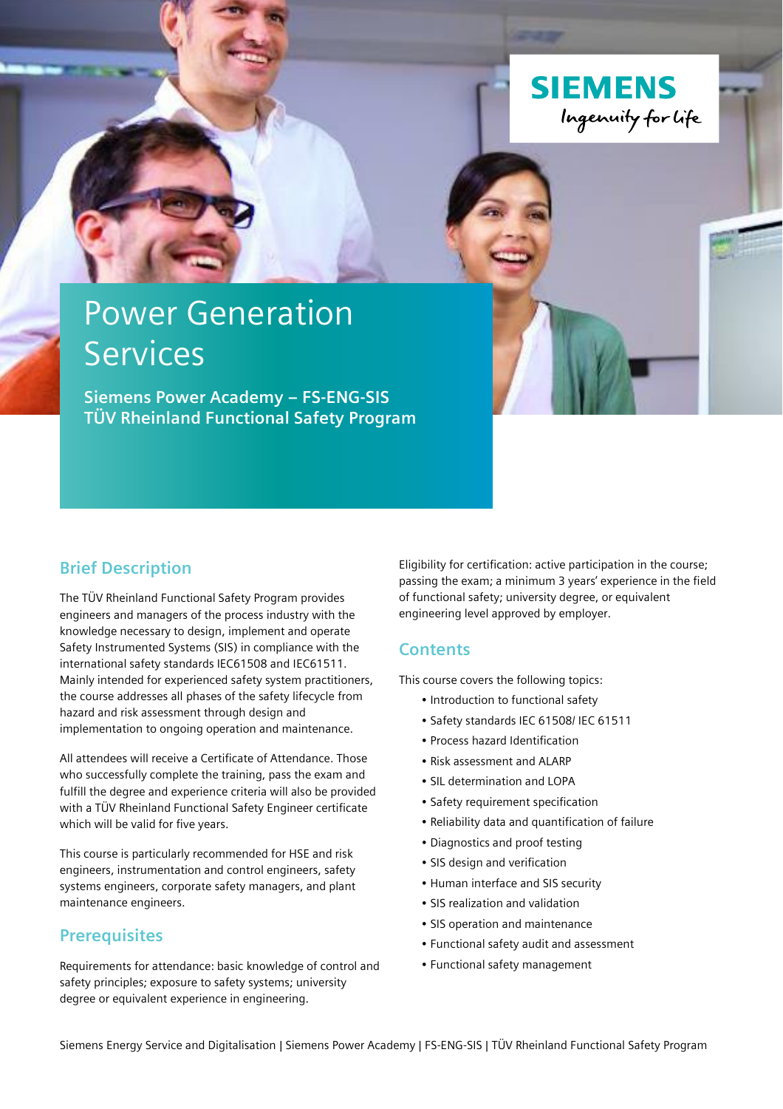

# Power Generation **Services**

**Siemens Power Academy – FS-ENG-SIS TÜV Rheinland Functional Safety Program**

## **Brief Description**

The TÜV Rheinland Functional Safety Program provides engineers and managers of the process industry with the knowledge necessary to design, implement and operate Safety Instrumented Systems (SIS) in compliance with the international safety standards IEC61508 and IEC61511. Mainly intended for experienced safety system practitioners, the course addresses all phases of the safety lifecycle from hazard and risk assessment through design and implementation to ongoing operation and maintenance.

All attendees will receive a Certificate of Attendance. Those who successfully complete the training, pass the exam and fulfill the degree and experience criteria will also be provided with a TÜV Rheinland Functional Safety Engineer certificate which will be valid for five years.

This course is particularly recommended for HSE and risk engineers, instrumentation and control engineers, safety systems engineers, corporate safety managers, and plant maintenance engineers.

## **Prerequisites**

Requirements for attendance: basic knowledge of control and safety principles; exposure to safety systems; university degree or equivalent experience in engineering.

Eligibility for certification: active participation in the course; passing the exam; a minimum 3 years' experience in the field of functional safety; university degree, or equivalent engineering level approved by employer.

### **Contents**

This course covers the following topics:

- Introduction to functional safety
- Safety standards IEC 61508/ IEC 61511
- Process hazard Identification
- Risk assessment and ALARP
- SIL determination and LOPA
- Safety requirement specification
- Reliability data and quantification of failure
- Diagnostics and proof testing
- SIS design and verification
- Human interface and SIS security
- SIS realization and validation
- SIS operation and maintenance
- Functional safety audit and assessment
- Functional safety management